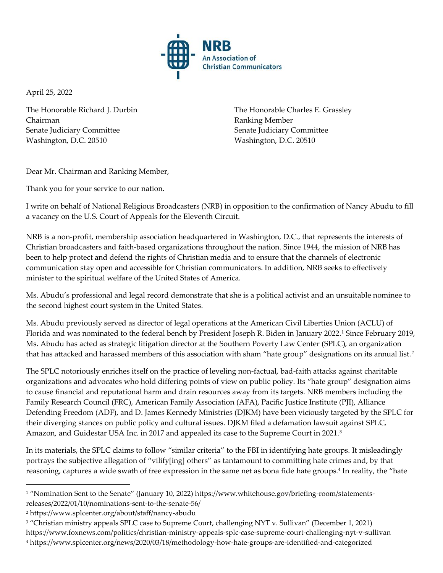

April 25, 2022

The Honorable Richard J. Durbin Chairman Senate Judiciary Committee Washington, D.C. 20510

The Honorable Charles E. Grassley Ranking Member Senate Judiciary Committee Washington, D.C. 20510

Dear Mr. Chairman and Ranking Member,

Thank you for your service to our nation.

I write on behalf of National Religious Broadcasters (NRB) in opposition to the confirmation of Nancy Abudu to fill a vacancy on the U.S. Court of Appeals for the Eleventh Circuit.

NRB is a non-profit, membership association headquartered in Washington, D.C., that represents the interests of Christian broadcasters and faith-based organizations throughout the nation. Since 1944, the mission of NRB has been to help protect and defend the rights of Christian media and to ensure that the channels of electronic communication stay open and accessible for Christian communicators. In addition, NRB seeks to effectively minister to the spiritual welfare of the United States of America.

Ms. Abudu's professional and legal record demonstrate that she is a political activist and an unsuitable nominee to the second highest court system in the United States.

Ms. Abudu previously served as director of legal operations at the American Civil Liberties Union (ACLU) of Florida and was nominated to the federal bench by President Joseph R. Biden in January 2022.<sup>1</sup> Since February 2019, Ms. Abudu has acted as strategic litigation director at the Southern Poverty Law Center (SPLC), an organization that has attacked and harassed members of this association with sham "hate group" designations on its annual list.<sup>2</sup>

The SPLC notoriously enriches itself on the practice of leveling non-factual, bad-faith attacks against charitable organizations and advocates who hold differing points of view on public policy. Its "hate group" designation aims to cause financial and reputational harm and drain resources away from its targets. NRB members including the Family Research Council (FRC), American Family Association (AFA), Pacific Justice Institute (PJI), Alliance Defending Freedom (ADF), and D. James Kennedy Ministries (DJKM) have been viciously targeted by the SPLC for their diverging stances on public policy and cultural issues. DJKM filed a defamation lawsuit against SPLC, Amazon, and Guidestar USA Inc. in 2017 and appealed its case to the Supreme Court in 2021.<sup>3</sup>

In its materials, the SPLC claims to follow "similar criteria" to the FBI in identifying hate groups. It misleadingly portrays the subjective allegation of "vilify[ing] others" as tantamount to committing hate crimes and, by that reasoning, captures a wide swath of free expression in the same net as bona fide hate groups.<sup>4</sup> In reality, the "hate

<sup>1</sup> "Nomination Sent to the Senate" (January 10, 2022) https://www.whitehouse.gov/briefing-room/statementsreleases/2022/01/10/nominations-sent-to-the-senate-56/

<sup>2</sup> https://www.splcenter.org/about/staff/nancy-abudu

<sup>3</sup> "Christian ministry appeals SPLC case to Supreme Court, challenging NYT v. Sullivan" (December 1, 2021) https://www.foxnews.com/politics/christian-ministry-appeals-splc-case-supreme-court-challenging-nyt-v-sullivan <sup>4</sup> https://www.splcenter.org/news/2020/03/18/methodology-how-hate-groups-are-identified-and-categorized